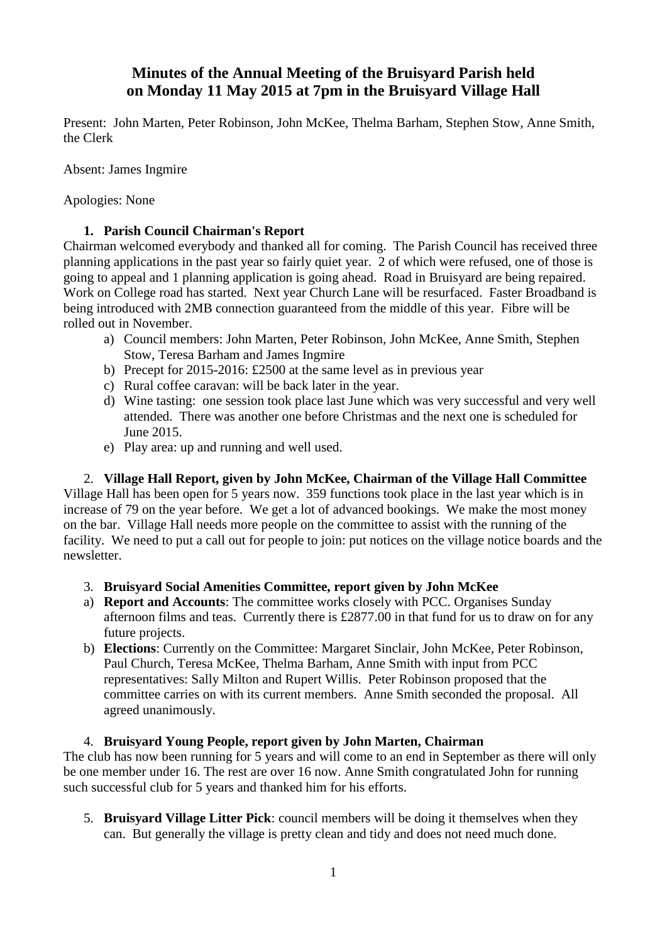# **Minutes of the Annual Meeting of the Bruisyard Parish held on Monday 11 May 2015 at 7pm in the Bruisyard Village Hall**

Present: John Marten, Peter Robinson, John McKee, Thelma Barham, Stephen Stow, Anne Smith, the Clerk

Absent: James Ingmire

Apologies: None

### **1. Parish Council Chairman's Report**

Chairman welcomed everybody and thanked all for coming. The Parish Council has received three planning applications in the past year so fairly quiet year. 2 of which were refused, one of those is going to appeal and 1 planning application is going ahead. Road in Bruisyard are being repaired. Work on College road has started. Next year Church Lane will be resurfaced. Faster Broadband is being introduced with 2MB connection guaranteed from the middle of this year. Fibre will be rolled out in November.

- a) Council members: John Marten, Peter Robinson, John McKee, Anne Smith, Stephen Stow, Teresa Barham and James Ingmire
- b) Precept for 2015-2016: £2500 at the same level as in previous year
- c) Rural coffee caravan: will be back later in the year.
- d) Wine tasting: one session took place last June which was very successful and very well attended. There was another one before Christmas and the next one is scheduled for June 2015.
- e) Play area: up and running and well used.

# 2. **Village Hall Report, given by John McKee, Chairman of the Village Hall Committee**

Village Hall has been open for 5 years now. 359 functions took place in the last year which is in increase of 79 on the year before. We get a lot of advanced bookings. We make the most money on the bar. Village Hall needs more people on the committee to assist with the running of the facility. We need to put a call out for people to join: put notices on the village notice boards and the newsletter.

### 3. **Bruisyard Social Amenities Committee, report given by John McKee**

- a) **Report and Accounts**: The committee works closely with PCC. Organises Sunday afternoon films and teas. Currently there is £2877.00 in that fund for us to draw on for any future projects.
- b) **Elections**: Currently on the Committee: Margaret Sinclair, John McKee, Peter Robinson, Paul Church, Teresa McKee, Thelma Barham, Anne Smith with input from PCC representatives: Sally Milton and Rupert Willis. Peter Robinson proposed that the committee carries on with its current members. Anne Smith seconded the proposal. All agreed unanimously.

### 4. **Bruisyard Young People, report given by John Marten, Chairman**

The club has now been running for 5 years and will come to an end in September as there will only be one member under 16. The rest are over 16 now. Anne Smith congratulated John for running such successful club for 5 years and thanked him for his efforts.

5. **Bruisyard Village Litter Pick**: council members will be doing it themselves when they can. But generally the village is pretty clean and tidy and does not need much done.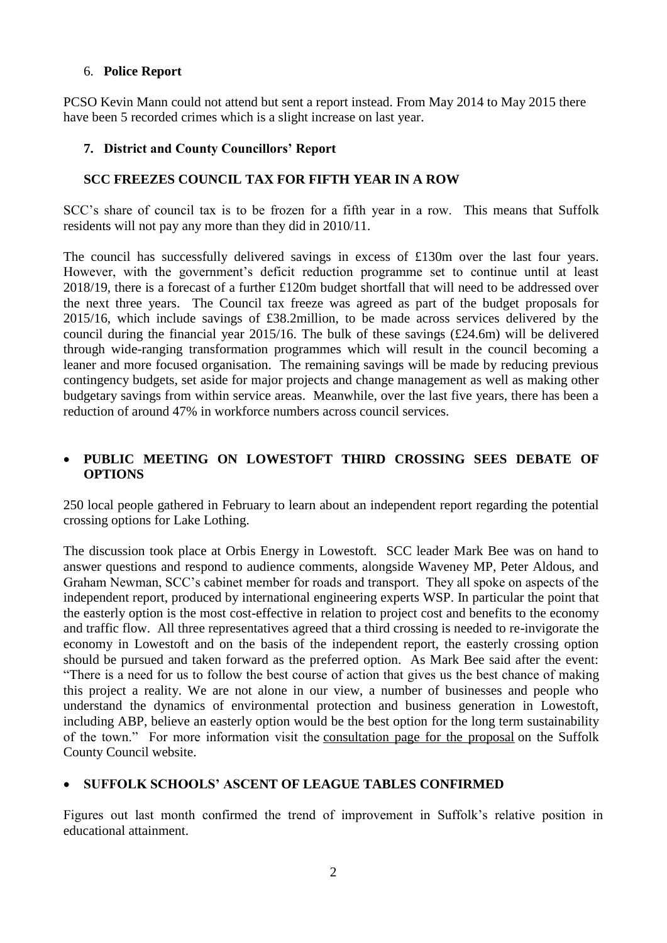#### 6. **Police Report**

PCSO Kevin Mann could not attend but sent a report instead. From May 2014 to May 2015 there have been 5 recorded crimes which is a slight increase on last year.

#### **7. District and County Councillors' Report**

### **SCC FREEZES COUNCIL TAX FOR FIFTH YEAR IN A ROW**

SCC's share of council tax is to be frozen for a fifth year in a row. This means that Suffolk residents will not pay any more than they did in 2010/11.

The council has successfully delivered savings in excess of £130m over the last four years. However, with the government's deficit reduction programme set to continue until at least 2018/19, there is a forecast of a further £120m budget shortfall that will need to be addressed over the next three years. The Council tax freeze was agreed as part of the budget proposals for 2015/16, which include savings of £38.2million, to be made across services delivered by the council during the financial year 2015/16. The bulk of these savings (£24.6m) will be delivered through wide-ranging transformation programmes which will result in the council becoming a leaner and more focused organisation. The remaining savings will be made by reducing previous contingency budgets, set aside for major projects and change management as well as making other budgetary savings from within service areas. Meanwhile, over the last five years, there has been a reduction of around 47% in workforce numbers across council services.

### **PUBLIC MEETING ON LOWESTOFT THIRD CROSSING SEES DEBATE OF OPTIONS**

250 local people gathered in February to learn about an independent report regarding the potential crossing options for Lake Lothing.

The discussion took place at Orbis Energy in Lowestoft. SCC leader Mark Bee was on hand to answer questions and respond to audience comments, alongside Waveney MP, Peter Aldous, and Graham Newman, SCC's cabinet member for roads and transport. They all spoke on aspects of the independent report, produced by international engineering experts WSP. In particular the point that the easterly option is the most cost-effective in relation to project cost and benefits to the economy and traffic flow. All three representatives agreed that a third crossing is needed to re-invigorate the economy in Lowestoft and on the basis of the independent report, the easterly crossing option should be pursued and taken forward as the preferred option. As Mark Bee said after the event: "There is a need for us to follow the best course of action that gives us the best chance of making this project a reality. We are not alone in our view, a number of businesses and people who understand the dynamics of environmental protection and business generation in Lowestoft, including ABP, believe an easterly option would be the best option for the long term sustainability of the town." For more information visit the [consultation page for the proposal](http://www.suffolk.gov.uk/environment-and-transport/Transport/Transport-Planning/consultations-and-studies/lowestoft-third-crossing-consultation-update/) on the Suffolk County Council website.

# **SUFFOLK SCHOOLS' ASCENT OF LEAGUE TABLES CONFIRMED**

Figures out last month confirmed the trend of improvement in Suffolk's relative position in educational attainment.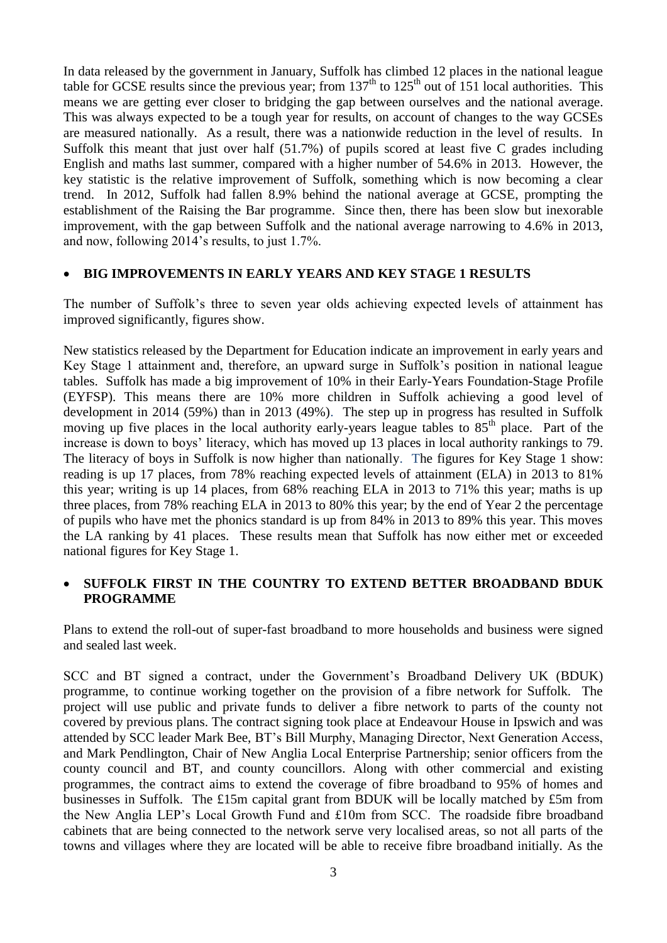In data released by the government in January, Suffolk has climbed 12 places in the national league table for GCSE results since the previous year; from  $137<sup>th</sup>$  to  $125<sup>th</sup>$  out of 151 local authorities. This means we are getting ever closer to bridging the gap between ourselves and the national average. This was always expected to be a tough year for results, on account of changes to the way GCSEs are measured nationally. As a result, there was a nationwide reduction in the level of results. In Suffolk this meant that just over half (51.7%) of pupils scored at least five C grades including English and maths last summer, compared with a higher number of 54.6% in 2013. However, the key statistic is the relative improvement of Suffolk, something which is now becoming a clear trend. In 2012, Suffolk had fallen 8.9% behind the national average at GCSE, prompting the establishment of the Raising the Bar programme. Since then, there has been slow but inexorable improvement, with the gap between Suffolk and the national average narrowing to 4.6% in 2013, and now, following 2014's results, to just 1.7%.

#### **BIG IMPROVEMENTS IN EARLY YEARS AND KEY STAGE 1 RESULTS**

The number of Suffolk's three to seven year olds achieving expected levels of attainment has improved significantly, figures show.

New statistics released by the Department for Education indicate an improvement in early years and Key Stage 1 attainment and, therefore, an upward surge in Suffolk's position in national league tables. Suffolk has made a big improvement of 10% in their Early-Years Foundation-Stage Profile (EYFSP). This means there are 10% more children in Suffolk achieving a good level of development in 2014 (59%) than in 2013 (49%). The step up in progress has resulted in Suffolk moving up five places in the local authority early-years league tables to  $85<sup>th</sup>$  place. Part of the increase is down to boys' literacy, which has moved up 13 places in local authority rankings to 79. The literacy of boys in Suffolk is now higher than nationally. The figures for Key Stage 1 show: reading is up 17 places, from 78% reaching expected levels of attainment (ELA) in 2013 to 81% this year; writing is up 14 places, from 68% reaching ELA in 2013 to 71% this year; maths is up three places, from 78% reaching ELA in 2013 to 80% this year; by the end of Year 2 the percentage of pupils who have met the phonics standard is up from 84% in 2013 to 89% this year. This moves the LA ranking by 41 places. These results mean that Suffolk has now either met or exceeded national figures for Key Stage 1.

### **SUFFOLK FIRST IN THE COUNTRY TO EXTEND BETTER BROADBAND BDUK PROGRAMME**

Plans to extend the roll-out of super-fast broadband to more households and business were signed and sealed last week.

SCC and BT signed a contract, under the Government's Broadband Delivery UK (BDUK) programme, to continue working together on the provision of a fibre network for Suffolk. The project will use public and private funds to deliver a fibre network to parts of the county not covered by previous plans. The contract signing took place at Endeavour House in Ipswich and was attended by SCC leader Mark Bee, BT's Bill Murphy, Managing Director, Next Generation Access, and Mark Pendlington, Chair of New Anglia Local Enterprise Partnership; senior officers from the county council and BT, and county councillors. Along with other commercial and existing programmes, the contract aims to extend the coverage of fibre broadband to 95% of homes and businesses in Suffolk. The £15m capital grant from BDUK will be locally matched by £5m from the New Anglia LEP's Local Growth Fund and £10m from SCC. The roadside fibre broadband cabinets that are being connected to the network serve very localised areas, so not all parts of the towns and villages where they are located will be able to receive fibre broadband initially. As the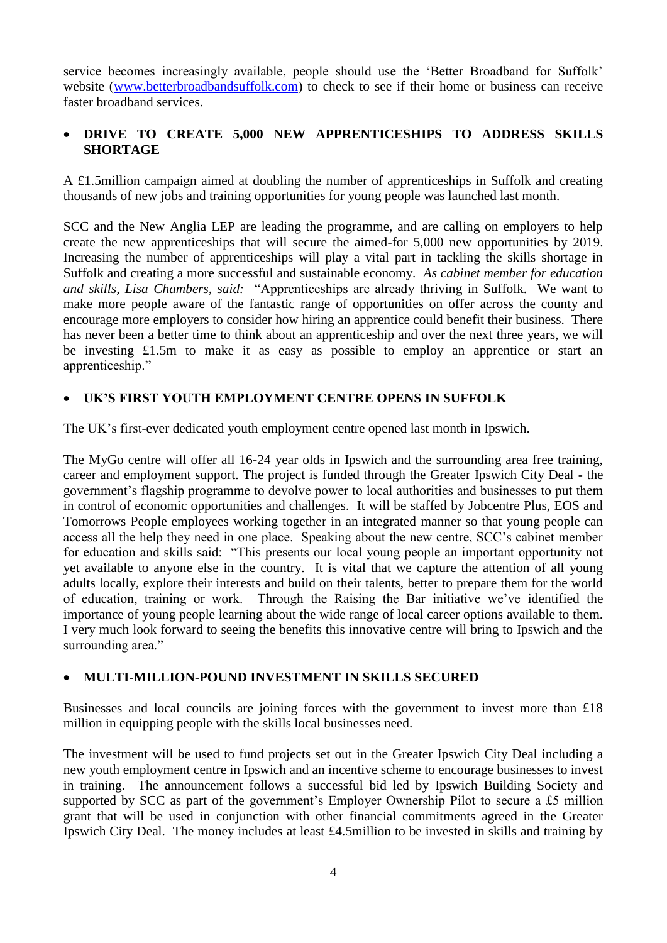service becomes increasingly available, people should use the 'Better Broadband for Suffolk' website [\(www.betterbroadbandsuffolk.com\)](http://www.betterbroadbandsuffolk.com/) to check to see if their home or business can receive faster broadband services.

# **DRIVE TO CREATE 5,000 NEW APPRENTICESHIPS TO ADDRESS SKILLS SHORTAGE**

A £1.5million campaign aimed at doubling the number of apprenticeships in Suffolk and creating thousands of new jobs and training opportunities for young people was launched last month.

SCC and the New Anglia LEP are leading the programme, and are calling on employers to help create the new apprenticeships that will secure the aimed-for 5,000 new opportunities by 2019. Increasing the number of apprenticeships will play a vital part in tackling the skills shortage in Suffolk and creating a more successful and sustainable economy*. As cabinet member for education and skills, Lisa Chambers, said:* "Apprenticeships are already thriving in Suffolk. We want to make more people aware of the fantastic range of opportunities on offer across the county and encourage more employers to consider how hiring an apprentice could benefit their business. There has never been a better time to think about an apprenticeship and over the next three years, we will be investing £1.5m to make it as easy as possible to employ an apprentice or start an apprenticeship."

## **UK'S FIRST YOUTH EMPLOYMENT CENTRE OPENS IN SUFFOLK**

The UK's first-ever dedicated youth employment centre opened last month in Ipswich.

The MyGo centre will offer all 16-24 year olds in Ipswich and the surrounding area free training, career and employment support. The project is funded through the Greater Ipswich City Deal - the government's flagship programme to devolve power to local authorities and businesses to put them in control of economic opportunities and challenges. It will be staffed by Jobcentre Plus, EOS and Tomorrows People employees working together in an integrated manner so that young people can access all the help they need in one place. Speaking about the new centre, SCC's cabinet member for education and skills said: "This presents our local young people an important opportunity not yet available to anyone else in the country. It is vital that we capture the attention of all young adults locally, explore their interests and build on their talents, better to prepare them for the world of education, training or work. Through the Raising the Bar initiative we've identified the importance of young people learning about the wide range of local career options available to them. I very much look forward to seeing the benefits this innovative centre will bring to Ipswich and the surrounding area."

### **MULTI-MILLION-POUND INVESTMENT IN SKILLS SECURED**

Businesses and local councils are joining forces with the government to invest more than £18 million in equipping people with the skills local businesses need.

The investment will be used to fund projects set out in the Greater Ipswich City Deal including a new youth employment centre in Ipswich and an incentive scheme to encourage businesses to invest in training. The announcement follows a successful bid led by Ipswich Building Society and supported by SCC as part of the government's Employer Ownership Pilot to secure a £5 million grant that will be used in conjunction with other financial commitments agreed in the Greater Ipswich City Deal. The money includes at least £4.5million to be invested in skills and training by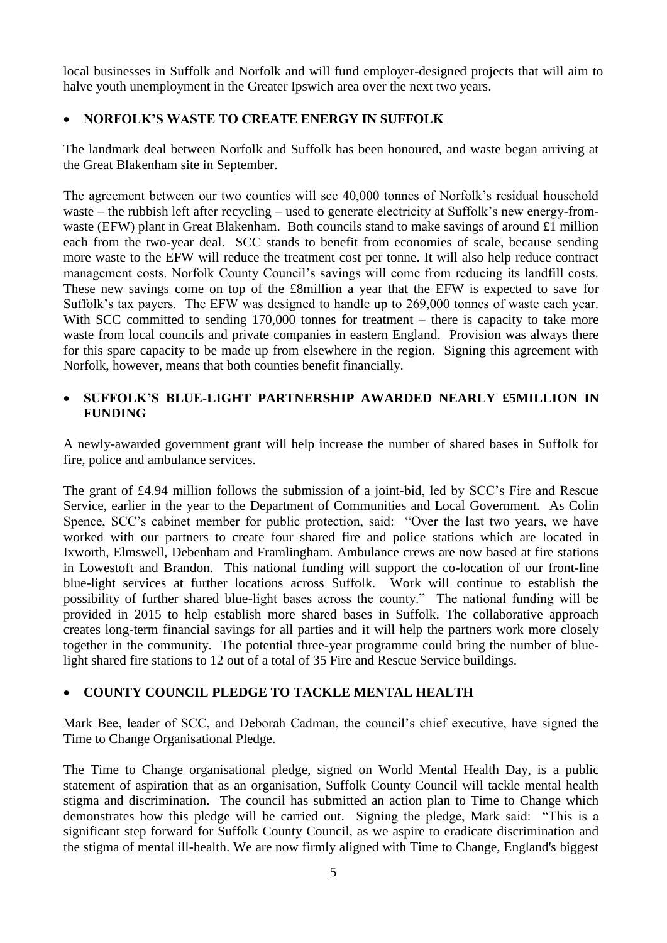local businesses in Suffolk and Norfolk and will fund employer-designed projects that will aim to halve youth unemployment in the Greater Ipswich area over the next two years.

# **NORFOLK'S WASTE TO CREATE ENERGY IN SUFFOLK**

The landmark deal between Norfolk and Suffolk has been honoured, and waste began arriving at the Great Blakenham site in September.

The agreement between our two counties will see 40,000 tonnes of Norfolk's residual household waste – the rubbish left after recycling – used to generate electricity at Suffolk's new energy-fromwaste (EFW) plant in Great Blakenham. Both councils stand to make savings of around £1 million each from the two-year deal. SCC stands to benefit from economies of scale, because sending more waste to the EFW will reduce the treatment cost per tonne. It will also help reduce contract management costs. Norfolk County Council's savings will come from reducing its landfill costs. These new savings come on top of the £8million a year that the EFW is expected to save for Suffolk's tax payers. The EFW was designed to handle up to 269,000 tonnes of waste each year. With SCC committed to sending 170,000 tonnes for treatment – there is capacity to take more waste from local councils and private companies in eastern England. Provision was always there for this spare capacity to be made up from elsewhere in the region. Signing this agreement with Norfolk, however, means that both counties benefit financially.

## **SUFFOLK'S BLUE-LIGHT PARTNERSHIP AWARDED NEARLY £5MILLION IN FUNDING**

A newly-awarded government grant will help increase the number of shared bases in Suffolk for fire, police and ambulance services.

The grant of £4.94 million follows the submission of a joint-bid, led by SCC's Fire and Rescue Service, earlier in the year to the Department of Communities and Local Government. As Colin Spence, SCC's cabinet member for public protection, said: "Over the last two years, we have worked with our partners to create four shared fire and police stations which are located in Ixworth, Elmswell, Debenham and Framlingham. Ambulance crews are now based at fire stations in Lowestoft and Brandon. This national funding will support the co-location of our front-line blue-light services at further locations across Suffolk. Work will continue to establish the possibility of further shared blue-light bases across the county." The national funding will be provided in 2015 to help establish more shared bases in Suffolk. The collaborative approach creates long-term financial savings for all parties and it will help the partners work more closely together in the community. The potential three-year programme could bring the number of bluelight shared fire stations to 12 out of a total of 35 Fire and Rescue Service buildings.

### **COUNTY COUNCIL PLEDGE TO TACKLE MENTAL HEALTH**

Mark Bee, leader of SCC, and Deborah Cadman, the council's chief executive, have signed the Time to Change Organisational Pledge.

The Time to Change organisational pledge, signed on World Mental Health Day, is a public statement of aspiration that as an organisation, Suffolk County Council will tackle mental health stigma and discrimination. The council has submitted an action plan to Time to Change which demonstrates how this pledge will be carried out. Signing the pledge, Mark said: "This is a significant step forward for Suffolk County Council, as we aspire to eradicate discrimination and the stigma of mental ill-health. We are now firmly aligned with Time to Change, England's biggest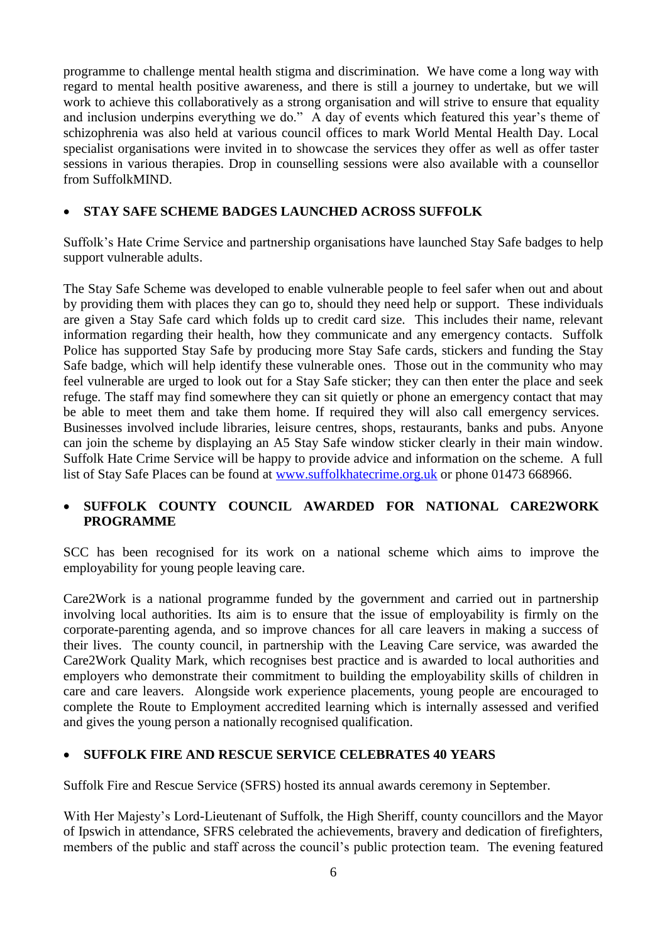programme to challenge mental health stigma and discrimination. We have come a long way with regard to mental health positive awareness, and there is still a journey to undertake, but we will work to achieve this collaboratively as a strong organisation and will strive to ensure that equality and inclusion underpins everything we do." A day of events which featured this year's theme of schizophrenia was also held at various council offices to mark World Mental Health Day. Local specialist organisations were invited in to showcase the services they offer as well as offer taster sessions in various therapies. Drop in counselling sessions were also available with a counsellor from SuffolkMIND.

### **STAY SAFE SCHEME BADGES LAUNCHED ACROSS SUFFOLK**

Suffolk's Hate Crime Service and partnership organisations have launched Stay Safe badges to help support vulnerable adults.

The Stay Safe Scheme was developed to enable vulnerable people to feel safer when out and about by providing them with places they can go to, should they need help or support. These individuals are given a Stay Safe card which folds up to credit card size. This includes their name, relevant information regarding their health, how they communicate and any emergency contacts. Suffolk Police has supported Stay Safe by producing more Stay Safe cards, stickers and funding the Stay Safe badge, which will help identify these vulnerable ones. Those out in the community who may feel vulnerable are urged to look out for a Stay Safe sticker; they can then enter the place and seek refuge. The staff may find somewhere they can sit quietly or phone an emergency contact that may be able to meet them and take them home. If required they will also call emergency services. Businesses involved include libraries, leisure centres, shops, restaurants, banks and pubs. Anyone can join the scheme by displaying an A5 Stay Safe window sticker clearly in their main window. Suffolk Hate Crime Service will be happy to provide advice and information on the scheme. A full list of Stay Safe Places can be found at [www.suffolkhatecrime.org.uk](http://www.suffolkhatecrime.org.uk/) or phone 01473 668966.

### **SUFFOLK COUNTY COUNCIL AWARDED FOR NATIONAL CARE2WORK PROGRAMME**

SCC has been recognised for its work on a national scheme which aims to improve the employability for young people leaving care.

Care2Work is a national programme funded by the government and carried out in partnership involving local authorities. Its aim is to ensure that the issue of employability is firmly on the corporate-parenting agenda, and so improve chances for all care leavers in making a success of their lives. The county council, in partnership with the Leaving Care service, was awarded the Care2Work Quality Mark, which recognises best practice and is awarded to local authorities and employers who demonstrate their commitment to building the employability skills of children in care and care leavers. Alongside work experience placements, young people are encouraged to complete the Route to Employment accredited learning which is internally assessed and verified and gives the young person a nationally recognised qualification.

#### **SUFFOLK FIRE AND RESCUE SERVICE CELEBRATES 40 YEARS**

Suffolk Fire and Rescue Service (SFRS) hosted its annual awards ceremony in September.

With Her Majesty's Lord-Lieutenant of Suffolk, the High Sheriff, county councillors and the Mayor of Ipswich in attendance, SFRS celebrated the achievements, bravery and dedication of firefighters, members of the public and staff across the council's public protection team. The evening featured